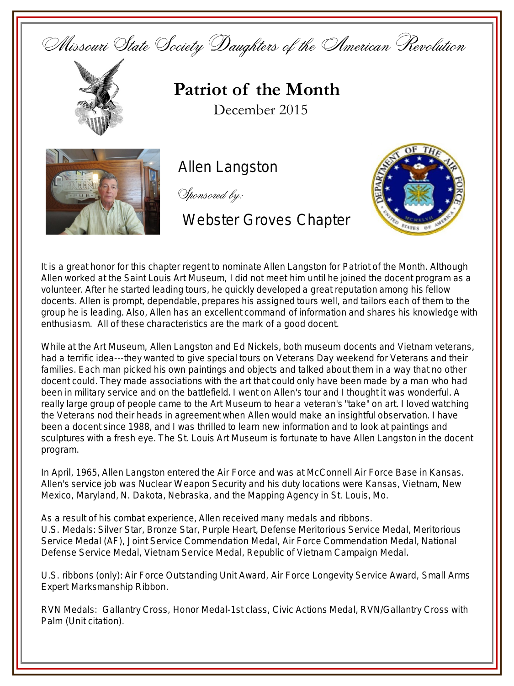



**Patriot of the Month** December 2015



Allen Langston

Sponsored by:

## Webster Groves Chapter



It is a great honor for this chapter regent to nominate Allen Langston for Patriot of the Month. Although Allen worked at the Saint Louis Art Museum, I did not meet him until he joined the docent program as a volunteer. After he started leading tours, he quickly developed a great reputation among his fellow docents. Allen is prompt, dependable, prepares his assigned tours well, and tailors each of them to the group he is leading. Also, Allen has an excellent command of information and shares his knowledge with enthusiasm. All of these characteristics are the mark of a good docent.

While at the Art Museum, Allen Langston and Ed Nickels, both museum docents and Vietnam veterans, had a terrific idea---they wanted to give special tours on Veterans Day weekend for Veterans and their families. Each man picked his own paintings and objects and talked about them in a way that no other docent could. They made associations with the art that could only have been made by a man who had been in military service and on the battlefield. I went on Allen's tour and I thought it was wonderful. A really large group of people came to the Art Museum to hear a veteran's "take" on art. I loved watching the Veterans nod their heads in agreement when Allen would make an insightful observation. I have been a docent since 1988, and I was thrilled to learn new information and to look at paintings and sculptures with a fresh eye. The St. Louis Art Museum is fortunate to have Allen Langston in the docent program.

In April, 1965, Allen Langston entered the Air Force and was at McConnell Air Force Base in Kansas. Allen's service job was Nuclear Weapon Security and his duty locations were Kansas, Vietnam, New Mexico, Maryland, N. Dakota, Nebraska, and the Mapping Agency in St. Louis, Mo.

As a result of his combat experience, Allen received many medals and ribbons. U.S. Medals: Silver Star, Bronze Star, Purple Heart, Defense Meritorious Service Medal, Meritorious Service Medal (AF), Joint Service Commendation Medal, Air Force Commendation Medal, National Defense Service Medal, Vietnam Service Medal, Republic of Vietnam Campaign Medal.

U.S. ribbons (only): Air Force Outstanding Unit Award, Air Force Longevity Service Award, Small Arms Expert Marksmanship Ribbon.

RVN Medals: Gallantry Cross, Honor Medal-1st class, Civic Actions Medal, RVN/Gallantry Cross with Palm (Unit citation).